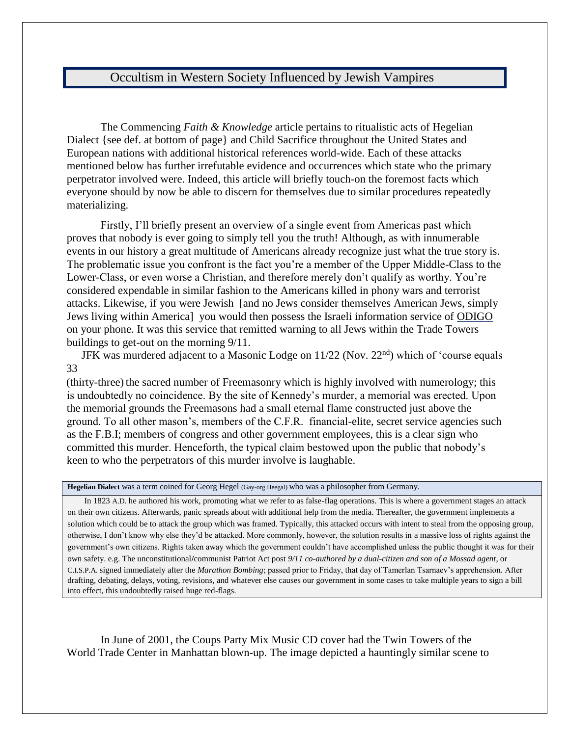# Occultism in Western Society Influenced by Jewish Vampires

The Commencing *Faith & Knowledge* article pertains to ritualistic acts of Hegelian Dialect {see def. at bottom of page} and Child Sacrifice throughout the United States and European nations with additional historical references world-wide. Each of these attacks mentioned below has further irrefutable evidence and occurrences which state who the primary perpetrator involved were. Indeed, this article will briefly touch-on the foremost facts which everyone should by now be able to discern for themselves due to similar procedures repeatedly materializing.

Firstly, I'll briefly present an overview of a single event from Americas past which proves that nobody is ever going to simply tell you the truth! Although, as with innumerable events in our history a great multitude of Americans already recognize just what the true story is. The problematic issue you confront is the fact you're a member of the Upper Middle-Class to the Lower-Class, or even worse a Christian, and therefore merely don't qualify as worthy. You're considered expendable in similar fashion to the Americans killed in phony wars and terrorist attacks. Likewise, if you were Jewish [and no Jews consider themselves American Jews, simply Jews living within America] you would then possess the Israeli information service of ODIGO on your phone. It was this service that remitted warning to all Jews within the Trade Towers buildings to get-out on the morning 9/11.

JFK was murdered adjacent to a Masonic Lodge on  $11/22$  (Nov.  $22<sup>nd</sup>$ ) which of 'course equals 33

(thirty-three) the sacred number of Freemasonry which is highly involved with numerology; this is undoubtedly no coincidence. By the site of Kennedy's murder, a memorial was erected. Upon the memorial grounds the Freemasons had a small eternal flame constructed just above the ground. To all other mason's, members of the C.F.R. financial-elite, secret service agencies such as the F.B.I; members of congress and other government employees, this is a clear sign who committed this murder. Henceforth, the typical claim bestowed upon the public that nobody's keen to who the perpetrators of this murder involve is laughable.

#### **Hegelian Dialect** was a term coined for Georg Hegel (Gay-org Heegal) who was a philosopher from Germany.

 In 1823 A.D. he authored his work, promoting what we refer to as false-flag operations. This is where a government stages an attack on their own citizens. Afterwards, panic spreads about with additional help from the media. Thereafter, the government implements a solution which could be to attack the group which was framed. Typically, this attacked occurs with intent to steal from the opposing group, otherwise, I don't know why else they'd be attacked. More commonly, however, the solution results in a massive loss of rights against the government's own citizens. Rights taken away which the government couldn't have accomplished unless the public thought it was for their own safety. e.g. The unconstitutional**/**communist Patriot Act post *9/11 co-authored by a dual-citizen and son of a Mossad agent*, or C.I.S.P.A. signed immediately after the *Marathon Bombing*; passed prior to Friday, that day of Tamerlan Tsarnaev's apprehension. After drafting, debating, delays, voting, revisions, and whatever else causes our government in some cases to take multiple years to sign a bill into effect, this undoubtedly raised huge red-flags.

In June of 2001, the Coups Party Mix Music CD cover had the Twin Towers of the World Trade Center in Manhattan blown-up. The image depicted a hauntingly similar scene to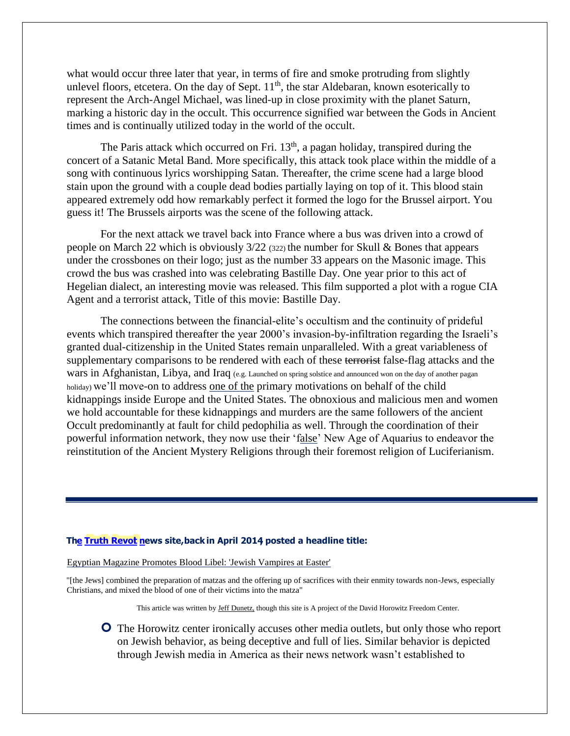what would occur three later that year, in terms of fire and smoke protruding from slightly unlevel floors, etcetera. On the day of Sept.  $11<sup>th</sup>$ , the star Aldebaran, known esoterically to represent the Arch-Angel Michael, was lined-up in close proximity with the planet Saturn, marking a historic day in the occult. This occurrence signified war between the Gods in Ancient times and is continually utilized today in the world of the occult.

The Paris attack which occurred on Fri.  $13<sup>th</sup>$ , a pagan holiday, transpired during the concert of a Satanic Metal Band. More specifically, this attack took place within the middle of a song with continuous lyrics worshipping Satan. Thereafter, the crime scene had a large blood stain upon the ground with a couple dead bodies partially laying on top of it. This blood stain appeared extremely odd how remarkably perfect it formed the logo for the Brussel airport. You guess it! The Brussels airports was the scene of the following attack.

For the next attack we travel back into France where a bus was driven into a crowd of people on March 22 which is obviously  $3/22$  (322) the number for Skull & Bones that appears under the crossbones on their logo; just as the number 33 appears on the Masonic image. This crowd the bus was crashed into was celebrating Bastille Day. One year prior to this act of Hegelian dialect, an interesting movie was released. This film supported a plot with a rogue CIA Agent and a terrorist attack, Title of this movie: Bastille Day.

The connections between the financial-elite's occultism and the continuity of prideful events which transpired thereafter the year 2000's invasion-by-infiltration regarding the Israeli's granted dual-citizenship in the United States remain unparalleled. With a great variableness of supplementary comparisons to be rendered with each of these terrorist false-flag attacks and the wars in Afghanistan, Libya, and Iraq (e.g. Launched on spring solstice and announced won on the day of another pagan holiday) we'll move-on to address one of the primary motivations on behalf of the child kidnappings inside Europe and the United States. The obnoxious and malicious men and women we hold accountable for these kidnappings and murders are the same followers of the ancient Occult predominantly at fault for child pedophilia as well. Through the coordination of their powerful information network, they now use their 'false' New Age of Aquarius to endeavor the reinstitution of the Ancient Mystery Religions through their foremost religion of Luciferianism.

#### **T[he](https://www.truthrevolt.org/) Truth Revot [ne](https://www.truthrevolt.org/)ws site, back in April 2014 posted a headline title:**

Egyptian Magazine Promotes Blood Libel: 'Jewish Vampires at Easter'

"[the Jews] combined the preparation of matzas and the offering up of sacrifices with their enmity towards non-Jews, especially Christians, and mixed the blood of one of their victims into the matza"

This article was written by **Jeff Dunetz**, though this site is A project of the David Horowitz Freedom Center.

 The Horowitz center ironically accuses other media outlets, but only those who report on Jewish behavior, as being deceptive and full of lies. Similar behavior is depicted through Jewish media in America as their news network wasn't established to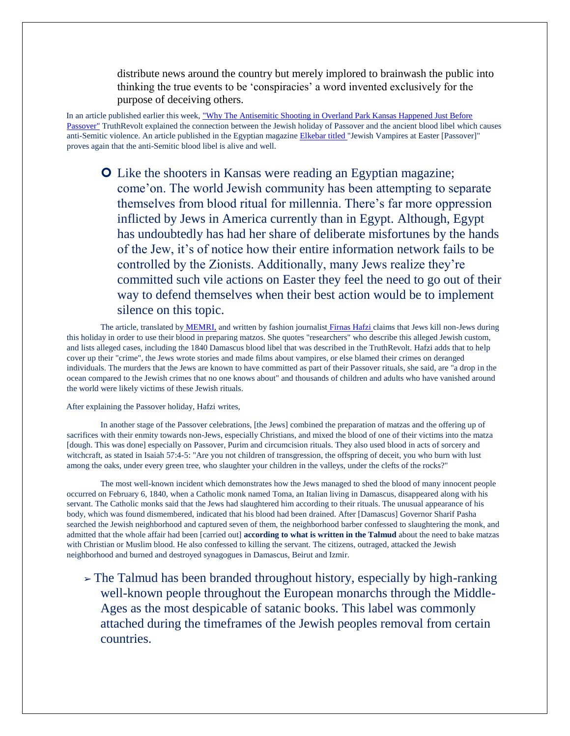distribute news around the country but merely implored to brainwash the public into thinking the true events to be 'conspiracies' a word invented exclusively for the purpose of deceiving others.

In an article published earlier this week[, "Why The Antisemitic Shooting in Overland Park Kansas Happened Just Before](http://www.truthrevolt.org/news/why-antisemitic-shooting-overland-park-kansas-happened-just-passover) [Passover"](http://www.truthrevolt.org/news/why-antisemitic-shooting-overland-park-kansas-happened-just-passover) TruthRevolt explained the connection between the Jewish holiday of Passover and the ancient blood libel which causes anti-Semitic violence. An article published in the Egyptian magazine [Elkebar](http://www.microsofttranslator.com/bv.aspx?from=&to=en&a=http://elkebar.com/?p=4202) [titled](http://www.microsofttranslator.com/bv.aspx?from=&to=en&a=http://elkebar.com/?p=4202) "Jewish Vampires at Easter [Passover]" proves again that the anti-Semitic blood libel is alive and well.

**O** Like the shooters in Kansas were reading an Egyptian magazine; come'on. The world Jewish community has been attempting to separate themselves from blood ritual for millennia. There's far more oppression inflicted by Jews in America currently than in Egypt. Although, Egypt has undoubtedly has had her share of deliberate misfortunes by the hands of the Jew, it's of notice how their entire information network fails to be controlled by the Zionists. Additionally, many Jews realize they're committed such vile actions on Easter they feel the need to go out of their way to defend themselves when their best action would be to implement silence on this topic.

The article, translated b[y](http://www.memri.org/report/en/0/0/0/0/0/0/7940.htm) **MEMRI**, and written by fashion journali[st](http://www.microsofttranslator.com/bv.aspx?from=&to=en&a=http://ana7amel.net/author/vernas) [Firnas](http://www.microsofttranslator.com/bv.aspx?from=&to=en&a=http://ana7amel.net/author/vernas) [Hafzi](http://www.microsofttranslator.com/bv.aspx?from=&to=en&a=http://ana7amel.net/author/vernas) claims that Jews kill non-Jews during this holiday in order to use their blood in preparing matzos. She quotes "researchers" who describe this alleged Jewish custom, and lists alleged cases, including the 1840 Damascus blood libel that was described in the TruthRevolt. Hafzi adds that to help cover up their "crime", the Jews wrote stories and made films about vampires, or else blamed their crimes on deranged individuals. The murders that the Jews are known to have committed as part of their Passover rituals, she said, are "a drop in the ocean compared to the Jewish crimes that no one knows about" and thousands of children and adults who have vanished around the world were likely victims of these Jewish rituals.

#### After explaining the Passover holiday, Hafzi writes,

In another stage of the Passover celebrations, [the Jews] combined the preparation of matzas and the offering up of sacrifices with their enmity towards non-Jews, especially Christians, and mixed the blood of one of their victims into the matza [dough. This was done] especially on Passover, Purim and circumcision rituals. They also used blood in acts of sorcery and witchcraft, as stated in Isaiah 57:4-5: "Are you not children of transgression, the offspring of deceit, you who burn with lust among the oaks, under every green tree, who slaughter your children in the valleys, under the clefts of the rocks?"

The most well-known incident which demonstrates how the Jews managed to shed the blood of many innocent people occurred on February 6, 1840, when a Catholic monk named Toma, an Italian living in Damascus, disappeared along with his servant. The Catholic monks said that the Jews had slaughtered him according to their rituals. The unusual appearance of his body, which was found dismembered, indicated that his blood had been drained. After [Damascus] Governor Sharif Pasha searched the Jewish neighborhood and captured seven of them, the neighborhood barber confessed to slaughtering the monk, and admitted that the whole affair had been [carried out] **according to what is written in the Talmud** about the need to bake matzas with Christian or Muslim blood. He also confessed to killing the servant. The citizens, outraged, attacked the Jewish neighborhood and burned and destroyed synagogues in Damascus, Beirut and Izmir.

➢ The Talmud has been branded throughout history, especially by high-ranking well-known people throughout the European monarchs through the Middle-Ages as the most despicable of satanic books. This label was commonly attached during the timeframes of the Jewish peoples removal from certain countries.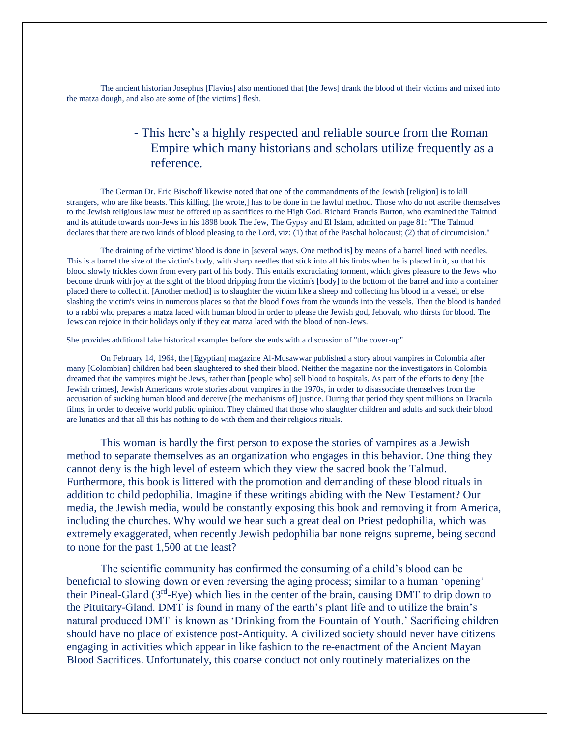The ancient historian Josephus [Flavius] also mentioned that [the Jews] drank the blood of their victims and mixed into the matza dough, and also ate some of [the victims'] flesh.

# - This here's a highly respected and reliable source from the Roman Empire which many historians and scholars utilize frequently as a reference.

The German Dr. Eric Bischoff likewise noted that one of the commandments of the Jewish [religion] is to kill strangers, who are like beasts. This killing, [he wrote,] has to be done in the lawful method. Those who do not ascribe themselves to the Jewish religious law must be offered up as sacrifices to the High God. Richard Francis Burton, who examined the Talmud and its attitude towards non-Jews in his 1898 book The Jew, The Gypsy and El Islam, admitted on page 81: "The Talmud declares that there are two kinds of blood pleasing to the Lord, viz: (1) that of the Paschal holocaust; (2) that of circumcision."

The draining of the victims' blood is done in [several ways. One method is] by means of a barrel lined with needles. This is a barrel the size of the victim's body, with sharp needles that stick into all his limbs when he is placed in it, so that his blood slowly trickles down from every part of his body. This entails excruciating torment, which gives pleasure to the Jews who become drunk with joy at the sight of the blood dripping from the victim's [body] to the bottom of the barrel and into a container placed there to collect it. [Another method] is to slaughter the victim like a sheep and collecting his blood in a vessel, or else slashing the victim's veins in numerous places so that the blood flows from the wounds into the vessels. Then the blood is handed to a rabbi who prepares a matza laced with human blood in order to please the Jewish god, Jehovah, who thirsts for blood. The Jews can rejoice in their holidays only if they eat matza laced with the blood of non-Jews.

She provides additional fake historical examples before she ends with a discussion of "the cover-up"

On February 14, 1964, the [Egyptian] magazine Al-Musawwar published a story about vampires in Colombia after many [Colombian] children had been slaughtered to shed their blood. Neither the magazine nor the investigators in Colombia dreamed that the vampires might be Jews, rather than [people who] sell blood to hospitals. As part of the efforts to deny [the Jewish crimes], Jewish Americans wrote stories about vampires in the 1970s, in order to disassociate themselves from the accusation of sucking human blood and deceive [the mechanisms of] justice. During that period they spent millions on Dracula films, in order to deceive world public opinion. They claimed that those who slaughter children and adults and suck their blood are lunatics and that all this has nothing to do with them and their religious rituals.

This woman is hardly the first person to expose the stories of vampires as a Jewish method to separate themselves as an organization who engages in this behavior. One thing they cannot deny is the high level of esteem which they view the sacred book the Talmud. Furthermore, this book is littered with the promotion and demanding of these blood rituals in addition to child pedophilia. Imagine if these writings abiding with the New Testament? Our media, the Jewish media, would be constantly exposing this book and removing it from America, including the churches. Why would we hear such a great deal on Priest pedophilia, which was extremely exaggerated, when recently Jewish pedophilia bar none reigns supreme, being second to none for the past 1,500 at the least?

The scientific community has confirmed the consuming of a child's blood can be beneficial to slowing down or even reversing the aging process; similar to a human 'opening' their Pineal-Gland  $(3<sup>rd</sup>-Eye)$  which lies in the center of the brain, causing DMT to drip down to the Pituitary-Gland. DMT is found in many of the earth's plant life and to utilize the brain's natural produced DMT is known as 'Drinking from the Fountain of Youth.' Sacrificing children should have no place of existence post-Antiquity. A civilized society should never have citizens engaging in activities which appear in like fashion to the re-enactment of the Ancient Mayan Blood Sacrifices. Unfortunately, this coarse conduct not only routinely materializes on the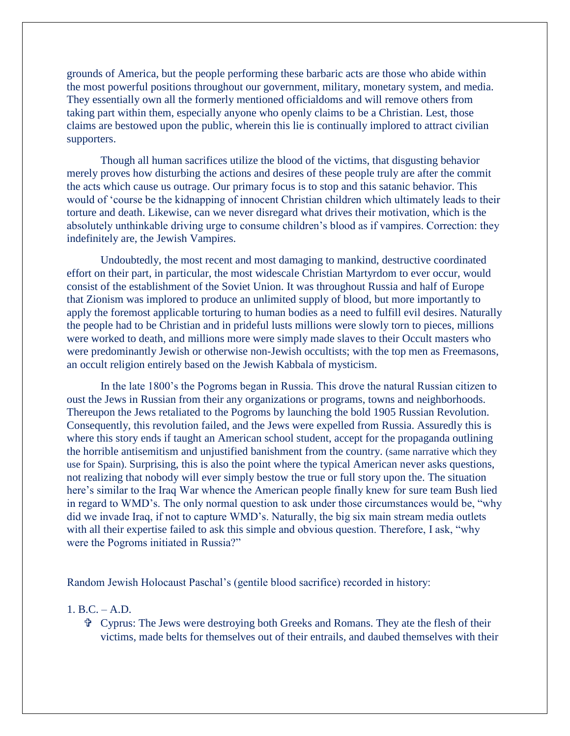grounds of America, but the people performing these barbaric acts are those who abide within the most powerful positions throughout our government, military, monetary system, and media. They essentially own all the formerly mentioned officialdoms and will remove others from taking part within them, especially anyone who openly claims to be a Christian. Lest, those claims are bestowed upon the public, wherein this lie is continually implored to attract civilian supporters.

Though all human sacrifices utilize the blood of the victims, that disgusting behavior merely proves how disturbing the actions and desires of these people truly are after the commit the acts which cause us outrage. Our primary focus is to stop and this satanic behavior. This would of 'course be the kidnapping of innocent Christian children which ultimately leads to their torture and death. Likewise, can we never disregard what drives their motivation, which is the absolutely unthinkable driving urge to consume children's blood as if vampires. Correction: they indefinitely are, the Jewish Vampires.

Undoubtedly, the most recent and most damaging to mankind, destructive coordinated effort on their part, in particular, the most widescale Christian Martyrdom to ever occur, would consist of the establishment of the Soviet Union. It was throughout Russia and half of Europe that Zionism was implored to produce an unlimited supply of blood, but more importantly to apply the foremost applicable torturing to human bodies as a need to fulfill evil desires. Naturally the people had to be Christian and in prideful lusts millions were slowly torn to pieces, millions were worked to death, and millions more were simply made slaves to their Occult masters who were predominantly Jewish or otherwise non-Jewish occultists; with the top men as Freemasons, an occult religion entirely based on the Jewish Kabbala of mysticism.

In the late 1800's the Pogroms began in Russia. This drove the natural Russian citizen to oust the Jews in Russian from their any organizations or programs, towns and neighborhoods. Thereupon the Jews retaliated to the Pogroms by launching the bold 1905 Russian Revolution. Consequently, this revolution failed, and the Jews were expelled from Russia. Assuredly this is where this story ends if taught an American school student, accept for the propaganda outlining the horrible antisemitism and unjustified banishment from the country. (same narrative which they use for Spain). Surprising, this is also the point where the typical American never asks questions, not realizing that nobody will ever simply bestow the true or full story upon the. The situation here's similar to the Iraq War whence the American people finally knew for sure team Bush lied in regard to WMD's. The only normal question to ask under those circumstances would be, "why did we invade Iraq, if not to capture WMD's. Naturally, the big six main stream media outlets with all their expertise failed to ask this simple and obvious question. Therefore, I ask, "why were the Pogroms initiated in Russia?"

Random Jewish Holocaust Paschal's (gentile blood sacrifice) recorded in history:

#### 1. B.C. – A.D.

 Cyprus: The Jews were destroying both Greeks and Romans. They ate the flesh of their victims, made belts for themselves out of their entrails, and daubed themselves with their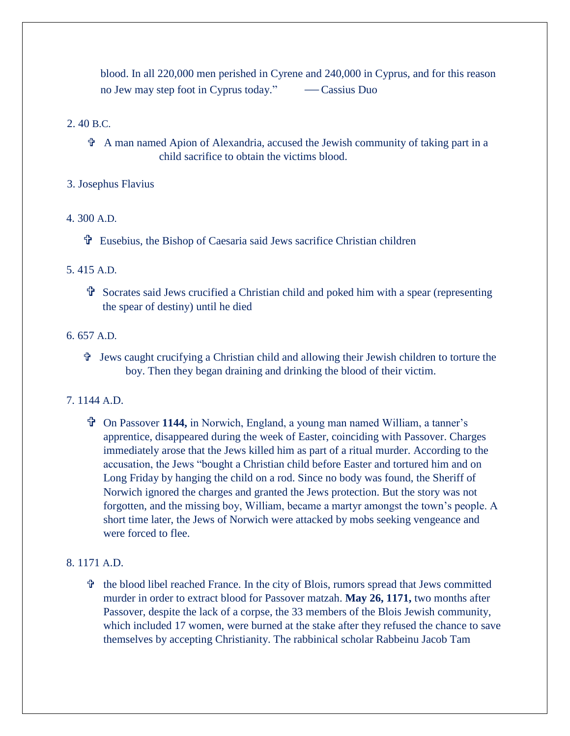blood. In all 220,000 men perished in Cyrene and 240,000 in Cyprus, and for this reason no Jew may step foot in Cyprus today."  $\qquad -$  Cassius Duo

# 2. 40 B.C.

 A man named Apion of Alexandria, accused the Jewish community of taking part in a child sacrifice to obtain the victims blood.

## 3. Josephus Flavius

### 4. 300 A.D.

Eusebius, the Bishop of Caesaria said Jews sacrifice Christian children

### 5. 415 A.D.

 Socrates said Jews crucified a Christian child and poked him with a spear (representing the spear of destiny) until he died

## 6. 657 A.D.

 Jews caught crucifying a Christian child and allowing their Jewish children to torture the boy. Then they began draining and drinking the blood of their victim.

# 7. 1144 A.D.

 On Passover **1144,** in Norwich, England, a young man named William, a tanner's apprentice, disappeared during the week of Easter, coinciding with Passover. Charges immediately arose that the Jews killed him as part of a ritual murder. According to the accusation, the Jews "bought a Christian child before Easter and tortured him and on Long Friday by hanging the child on a rod. Since no body was found, the Sheriff of Norwich ignored the charges and granted the Jews protection. But the story was not forgotten, and the missing boy, William, became a martyr amongst the town's people. A short time later, the Jews of Norwich were attacked by mobs seeking vengeance and were forced to flee.

# 8. 1171 A.D.

 $\hat{\mathbf{\tau}}$  the blood libel reached France. In the city of Blois, rumors spread that Jews committed murder in order to extract blood for Passover matzah. **May 26, 1171,** two months after Passover, despite the lack of a corpse, the 33 members of the Blois Jewish community, which included 17 women, were burned at the stake after they refused the chance to save themselves by accepting Christianity. The rabbinical scholar Rabbeinu Jacob Tam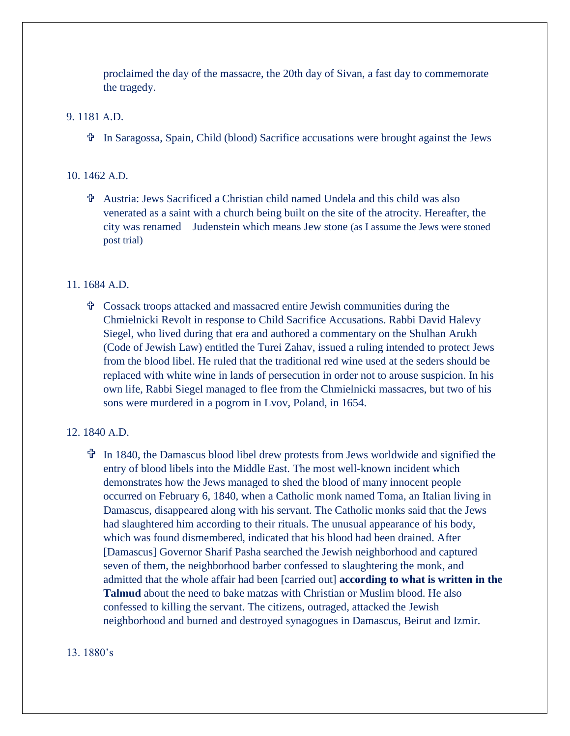proclaimed the day of the massacre, the 20th day of Sivan, a fast day to commemorate the tragedy.

# 9. 1181 A.D.

In Saragossa, Spain, Child (blood) Sacrifice accusations were brought against the Jews

# 10. 1462 A.D.

 Austria: Jews Sacrificed a Christian child named Undela and this child was also venerated as a saint with a church being built on the site of the atrocity. Hereafter, the city was renamed Judenstein which means Jew stone (as I assume the Jews were stoned post trial)

# 11. 1684 A.D.

 Cossack troops attacked and massacred entire Jewish communities during the Chmielnicki Revolt in response to Child Sacrifice Accusations. Rabbi David Halevy Siegel, who lived during that era and authored a commentary on the Shulhan Arukh (Code of Jewish Law) entitled the Turei Zahav, issued a ruling intended to protect Jews from the blood libel. He ruled that the traditional red wine used at the seders should be replaced with white wine in lands of persecution in order not to arouse suspicion. In his own life, Rabbi Siegel managed to flee from the Chmielnicki massacres, but two of his sons were murdered in a pogrom in Lvov, Poland, in 1654.

# 12. 1840 A.D.

 $\hat{\mathbf{T}}$  In 1840, the Damascus blood libel drew protests from Jews worldwide and signified the entry of blood libels into the Middle East. The most well-known incident which demonstrates how the Jews managed to shed the blood of many innocent people occurred on February 6, 1840, when a Catholic monk named Toma, an Italian living in Damascus, disappeared along with his servant. The Catholic monks said that the Jews had slaughtered him according to their rituals. The unusual appearance of his body, which was found dismembered, indicated that his blood had been drained. After [Damascus] Governor Sharif Pasha searched the Jewish neighborhood and captured seven of them, the neighborhood barber confessed to slaughtering the monk, and admitted that the whole affair had been [carried out] **according to what is written in the Talmud** about the need to bake matzas with Christian or Muslim blood. He also confessed to killing the servant. The citizens, outraged, attacked the Jewish neighborhood and burned and destroyed synagogues in Damascus, Beirut and Izmir.

# 13. 1880's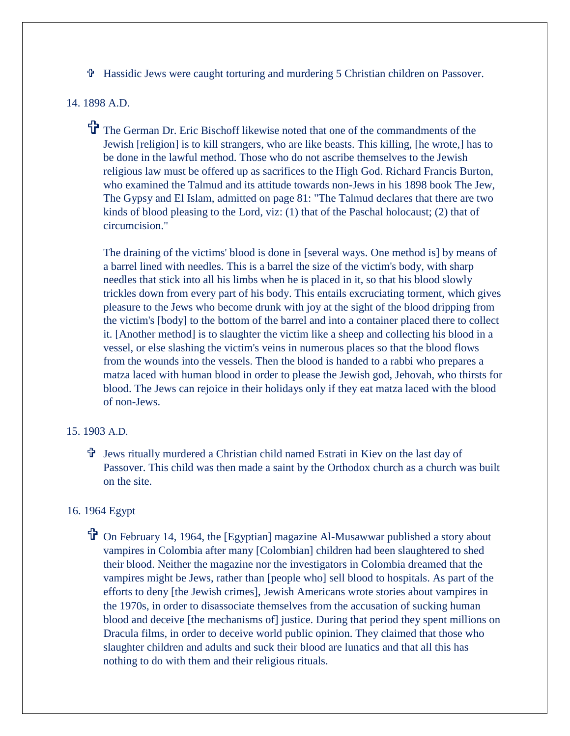Hassidic Jews were caught torturing and murdering 5 Christian children on Passover.

### 14. 1898 A.D.

The German Dr. Eric Bischoff likewise noted that one of the commandments of the Jewish [religion] is to kill strangers, who are like beasts. This killing, [he wrote,] has to be done in the lawful method. Those who do not ascribe themselves to the Jewish religious law must be offered up as sacrifices to the High God. Richard Francis Burton, who examined the Talmud and its attitude towards non-Jews in his 1898 book The Jew, The Gypsy and El Islam, admitted on page 81: "The Talmud declares that there are two kinds of blood pleasing to the Lord, viz: (1) that of the Paschal holocaust; (2) that of circumcision."

The draining of the victims' blood is done in [several ways. One method is] by means of a barrel lined with needles. This is a barrel the size of the victim's body, with sharp needles that stick into all his limbs when he is placed in it, so that his blood slowly trickles down from every part of his body. This entails excruciating torment, which gives pleasure to the Jews who become drunk with joy at the sight of the blood dripping from the victim's [body] to the bottom of the barrel and into a container placed there to collect it. [Another method] is to slaughter the victim like a sheep and collecting his blood in a vessel, or else slashing the victim's veins in numerous places so that the blood flows from the wounds into the vessels. Then the blood is handed to a rabbi who prepares a matza laced with human blood in order to please the Jewish god, Jehovah, who thirsts for blood. The Jews can rejoice in their holidays only if they eat matza laced with the blood of non-Jews.

# 15. 1903 A.D.

 Jews ritually murdered a Christian child named Estrati in Kiev on the last day of Passover. This child was then made a saint by the Orthodox church as a church was built on the site.

### 16. 1964 Egypt

 On February 14, 1964, the [Egyptian] magazine Al-Musawwar published a story about vampires in Colombia after many [Colombian] children had been slaughtered to shed their blood. Neither the magazine nor the investigators in Colombia dreamed that the vampires might be Jews, rather than [people who] sell blood to hospitals. As part of the efforts to deny [the Jewish crimes], Jewish Americans wrote stories about vampires in the 1970s, in order to disassociate themselves from the accusation of sucking human blood and deceive [the mechanisms of] justice. During that period they spent millions on Dracula films, in order to deceive world public opinion. They claimed that those who slaughter children and adults and suck their blood are lunatics and that all this has nothing to do with them and their religious rituals.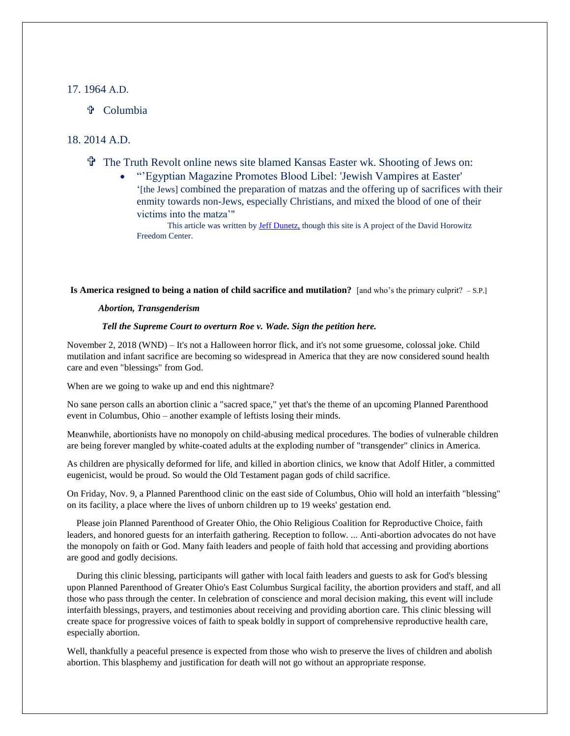#### 17. 1964 A.D.

#### Columbia

#### 18. 2014 A.D.

- The Truth Revolt online news site blamed Kansas Easter wk. Shooting of Jews on:
	- "'Egyptian Magazine Promotes Blood Libel: 'Jewish Vampires at Easter' '[the Jews] combined the preparation of matzas and the offering up of sacrifices with their enmity towards non-Jews, especially Christians, and mixed the blood of one of their victims into the matza'"

This article was written by **Jeff Dunetz**, though this site is A project of the David Horowitz Freedom Center.

#### **Is America resigned to being a nation of child sacrifice and mutilation?** [and who's the primary culprit? – S.P.]

#### *Abortion, Transgenderism*

#### *Tell the Supreme Court to overturn Roe v. Wade. Sign the petition here.*

November 2, 2018 (WND) – It's not a Halloween horror flick, and it's not some gruesome, colossal joke. Child mutilation and infant sacrifice are becoming so widespread in America that they are now considered sound health care and even "blessings" from God.

When are we going to wake up and end this nightmare?

No sane person calls an abortion clinic a "sacred space," yet that's the theme of an upcoming Planned Parenthood event in Columbus, Ohio – another example of leftists losing their minds.

Meanwhile, abortionists have no monopoly on child-abusing medical procedures. The bodies of vulnerable children are being forever mangled by white-coated adults at the exploding number of "transgender" clinics in America.

As children are physically deformed for life, and killed in abortion clinics, we know that Adolf Hitler, a committed eugenicist, would be proud. So would the Old Testament pagan gods of child sacrifice.

On Friday, Nov. 9, a Planned Parenthood clinic on the east side of Columbus, Ohio will hold an interfaith "blessing" on its facility, a place where the lives of unborn children up to 19 weeks' gestation end.

 Please join Planned Parenthood of Greater Ohio, the Ohio Religious Coalition for Reproductive Choice, faith leaders, and honored guests for an interfaith gathering. Reception to follow. ... Anti-abortion advocates do not have the monopoly on faith or God. Many faith leaders and people of faith hold that accessing and providing abortions are good and godly decisions.

 During this clinic blessing, participants will gather with local faith leaders and guests to ask for God's blessing upon Planned Parenthood of Greater Ohio's East Columbus Surgical facility, the abortion providers and staff, and all those who pass through the center. In celebration of conscience and moral decision making, this event will include interfaith blessings, prayers, and testimonies about receiving and providing abortion care. This clinic blessing will create space for progressive voices of faith to speak boldly in support of comprehensive reproductive health care, especially abortion.

Well, thankfully a peaceful presence is expected from those who wish to preserve the lives of children and abolish abortion. This blasphemy and justification for death will not go without an appropriate response.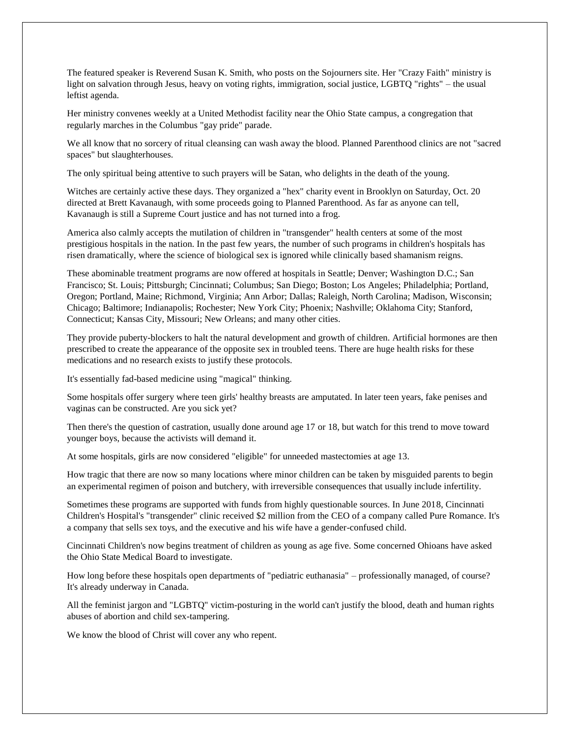The featured speaker is Reverend Susan K. Smith, who posts on the Sojourners site. Her "Crazy Faith" ministry is light on salvation through Jesus, heavy on voting rights, immigration, social justice, LGBTQ "rights" – the usual leftist agenda.

Her ministry convenes weekly at a United Methodist facility near the Ohio State campus, a congregation that regularly marches in the Columbus "gay pride" parade.

We all know that no sorcery of ritual cleansing can wash away the blood. Planned Parenthood clinics are not "sacred spaces" but slaughterhouses.

The only spiritual being attentive to such prayers will be Satan, who delights in the death of the young.

Witches are certainly active these days. They organized a "hex" charity event in Brooklyn on Saturday, Oct. 20 directed at Brett Kavanaugh, with some proceeds going to Planned Parenthood. As far as anyone can tell, Kavanaugh is still a Supreme Court justice and has not turned into a frog.

America also calmly accepts the mutilation of children in "transgender" health centers at some of the most prestigious hospitals in the nation. In the past few years, the number of such programs in children's hospitals has risen dramatically, where the science of biological sex is ignored while clinically based shamanism reigns.

These abominable treatment programs are now offered at hospitals in Seattle; Denver; Washington D.C.; San Francisco; St. Louis; Pittsburgh; Cincinnati; Columbus; San Diego; Boston; Los Angeles; Philadelphia; Portland, Oregon; Portland, Maine; Richmond, Virginia; Ann Arbor; Dallas; Raleigh, North Carolina; Madison, Wisconsin; Chicago; Baltimore; Indianapolis; Rochester; New York City; Phoenix; Nashville; Oklahoma City; Stanford, Connecticut; Kansas City, Missouri; New Orleans; and many other cities.

They provide puberty-blockers to halt the natural development and growth of children. Artificial hormones are then prescribed to create the appearance of the opposite sex in troubled teens. There are huge health risks for these medications and no research exists to justify these protocols.

It's essentially fad-based medicine using "magical" thinking.

Some hospitals offer surgery where teen girls' healthy breasts are amputated. In later teen years, fake penises and vaginas can be constructed. Are you sick yet?

Then there's the question of castration, usually done around age 17 or 18, but watch for this trend to move toward younger boys, because the activists will demand it.

At some hospitals, girls are now considered "eligible" for unneeded mastectomies at age 13.

How tragic that there are now so many locations where minor children can be taken by misguided parents to begin an experimental regimen of poison and butchery, with irreversible consequences that usually include infertility.

Sometimes these programs are supported with funds from highly questionable sources. In June 2018, Cincinnati Children's Hospital's "transgender" clinic received \$2 million from the CEO of a company called Pure Romance. It's a company that sells sex toys, and the executive and his wife have a gender-confused child.

Cincinnati Children's now begins treatment of children as young as age five. Some concerned Ohioans have asked the Ohio State Medical Board to investigate.

How long before these hospitals open departments of "pediatric euthanasia" – professionally managed, of course? It's already underway in Canada.

All the feminist jargon and "LGBTQ" victim-posturing in the world can't justify the blood, death and human rights abuses of abortion and child sex-tampering.

We know the blood of Christ will cover any who repent.